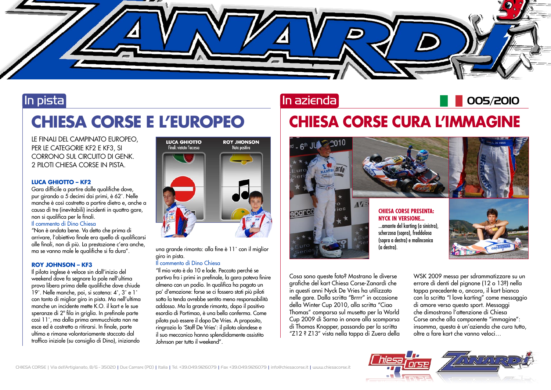

# In pista

# **CHIESA CORSE E L'EUROPEO**

LE FINALI DEL CAMPINATO EUROPEO, PER LE CATEGORIE KF2 E KF3, SI CORRONO SUL CIRCUITO DI GENK. 2 PILOTI CHIESA CORSE IN PISTA.

## **LUCA GHIOTTO – KF2**

Gara difficile a partire dalle qualifiche dove, pur girando a 5 decimi dai primi, è 62˚. Nelle manche è così costretto a partire dietro e, anche a causa di tre (inevitabili) incidenti in quattro gare, non si qualifica per le finali.

## Il commento di Dino Chiesa

"Non è andata bene. Va detto che prima di arrivare, l'obiettivo finale era quello di qualificarsi alle finali, non di più. La prestazione c'era anche, ma se vanno male le qualifiche si fa dura".

## **ROY JOHNSON – KF3**

Il pilota inglese è veloce sin dall'inizio del weekend dove fa segnare la pole nell'ultima prova libera prima delle qualifiche dove chiude 19˚. Nelle manche, poi, si scatena: 4˚, 3˚ e 1˚ con tanto di miglior giro in pista. Ma nell'ultima manche un incidente mette K.O. il kart e le sue speranze di 2ª fila in griglia. In prefinale parte così 11˚, ma dalla prima ammucchiata non ne esce ed è costretto a ritirarsi. In finale, parte ultimo e rimane volontariamente staccato dal traffico iniziale (su consiglio di Dino), iniziando



una grande rimonta: alla fine è 11° con il miglior giro in pista.

## Il commento di Dino Chiesa

"Il mio voto è da 10 e lode. Peccato perché se partiva fra i primi in prefinale, la gara poteva finire almeno con un podio. In qualifica ha pagato un po' d'emozione: forse se ci fossero stati più piloti sotto la tenda avrebbe sentito meno responsabilità addosso. Ma la grande rimonta, dopo il positivo esordio di Portimao, è una bella conferma. Come pilota può essere il dopo De Vries. A proposito, ringrazio lo 'Staff De Vries': il pilota olandese e il suo meccanico hanno splendidamente assistito Johnson per tutto il weekend".

## In azienda

# **CHIESA CORSE CURA L'IMMAGINE**



Cosa sono queste foto? Mostrano le diverse grafiche del kart Chiesa Corse-Zanardi che in questi anni Nyck De Vries ha utilizzato nelle gare. Dalla scritta "Brrrr" in occasione della Winter Cup 2010, alla scritta "Ciao Thomas" comparsa sul musetto per la World Cup 2009 di Sarno in onore alla scomparsa di Thomas Knopper, passando per la scritta "Z12 ? Z13" vista nella tappa di Zuera della

WSK 2009 messa per sdrammatizzare su un errore di denti del pignone (12 o 13?) nella tappa precedente o, ancora, il kart bianco con la scritta "I love karting" come messaggio di amore verso questo sport. Messaggi che dimostrano l'attenzione di Chiesa Corse anche alla componente "immagine": insomma, questa è un'azienda che cura tutto, oltre a fare kart che vanno veloci…

005/2010